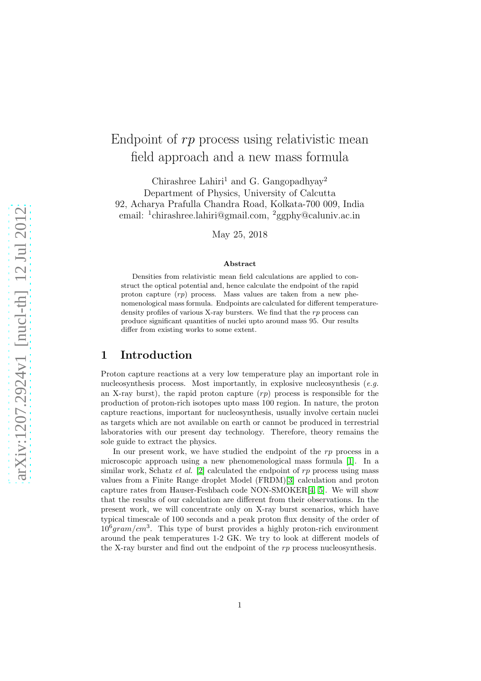# Endpoint of rp process using relativistic mean field approach and a new mass formula

Chirashree Lahiri<sup>1</sup> and G. Gangopadhyay<sup>2</sup> Department of Physics, University of Calcutta 92, Acharya Prafulla Chandra Road, Kolkata-700 009, India email: <sup>1</sup> chirashree.lahiri@gmail.com, <sup>2</sup>ggphy@caluniv.ac.in

May 25, 2018

#### Abstract

Densities from relativistic mean field calculations are applied to construct the optical potential and, hence calculate the endpoint of the rapid proton capture  $(rp)$  process. Mass values are taken from a new phenomenological mass formula. Endpoints are calculated for different temperaturedensity profiles of various X-ray bursters. We find that the  $rp$  process can produce significant quantities of nuclei upto around mass 95. Our results differ from existing works to some extent.

#### 1 Introduction

Proton capture reactions at a very low temperature play an important role in nucleosynthesis process. Most importantly, in explosive nucleosynthesis  $(e.g.$ an X-ray burst), the rapid proton capture  $(rp)$  process is responsible for the production of proton-rich isotopes upto mass 100 region. In nature, the proton capture reactions, important for nucleosynthesis, usually involve certain nuclei as targets which are not available on earth or cannot be produced in terrestrial laboratories with our present day technology. Therefore, theory remains the sole guide to extract the physics.

In our present work, we have studied the endpoint of the rp process in a microscopic approach using a new phenomenological mass formula [\[1\]](#page-5-0). In a similar work, Schatz et al. [\[2\]](#page-5-1) calculated the endpoint of  $rp$  process using mass values from a Finite Range droplet Model (FRDM)[\[3\]](#page-5-2) calculation and proton capture rates from Hauser-Feshbach code NON-SMOKER[\[4,](#page-6-0) [5\]](#page-6-1). We will show that the results of our calculation are different from their observations. In the present work, we will concentrate only on X-ray burst scenarios, which have typical timescale of 100 seconds and a peak proton flux density of the order of  $10^6 gram/cm^3$ . This type of burst provides a highly proton-rich environment around the peak temperatures 1-2 GK. We try to look at different models of the X-ray burster and find out the endpoint of the rp process nucleosynthesis.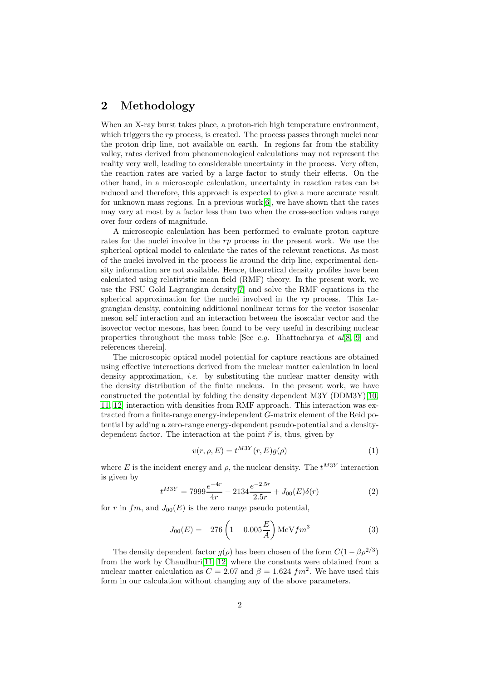# 2 Methodology

When an X-ray burst takes place, a proton-rich high temperature environment. which triggers the  $rp$  process, is created. The process passes through nuclei near the proton drip line, not available on earth. In regions far from the stability valley, rates derived from phenomenological calculations may not represent the reality very well, leading to considerable uncertainty in the process. Very often, the reaction rates are varied by a large factor to study their effects. On the other hand, in a microscopic calculation, uncertainty in reaction rates can be reduced and therefore, this approach is expected to give a more accurate result for unknown mass regions. In a previous work $[6]$ , we have shown that the rates may vary at most by a factor less than two when the cross-section values range over four orders of magnitude.

A microscopic calculation has been performed to evaluate proton capture rates for the nuclei involve in the rp process in the present work. We use the spherical optical model to calculate the rates of the relevant reactions. As most of the nuclei involved in the process lie around the drip line, experimental density information are not available. Hence, theoretical density profiles have been calculated using relativistic mean field (RMF) theory. In the present work, we use the FSU Gold Lagrangian density[\[7\]](#page-6-3) and solve the RMF equations in the spherical approximation for the nuclei involved in the  $rp$  process. This Lagrangian density, containing additional nonlinear terms for the vector isoscalar meson self interaction and an interaction between the isoscalar vector and the isovector vector mesons, has been found to be very useful in describing nuclear properties throughout the mass table [See *e.g.* Bhattacharya *et al*[\[8,](#page-6-4) [9\]](#page-6-5) and references therein].

The microscopic optical model potential for capture reactions are obtained using effective interactions derived from the nuclear matter calculation in local density approximation, *i.e.* by substituting the nuclear matter density with the density distribution of the finite nucleus. In the present work, we have constructed the potential by folding the density dependent M3Y (DDM3Y)[\[10,](#page-6-6) [11,](#page-6-7) [12\]](#page-6-8) interaction with densities from RMF approach. This interaction was extracted from a finite-range energy-independent G-matrix element of the Reid potential by adding a zero-range energy-dependent pseudo-potential and a densitydependent factor. The interaction at the point  $\vec{r}$  is, thus, given by

$$
v(r, \rho, E) = t^{M3Y}(r, E)g(\rho)
$$
\n<sup>(1)</sup>

where E is the incident energy and  $\rho$ , the nuclear density. The  $t^{M3Y}$  interaction is given by

$$
t^{M3Y} = 7999 \frac{e^{-4r}}{4r} - 2134 \frac{e^{-2.5r}}{2.5r} + J_{00}(E)\delta(r)
$$
 (2)

for r in fm, and  $J_{00}(E)$  is the zero range pseudo potential,

$$
J_{00}(E) = -276 \left(1 - 0.005 \frac{E}{A}\right) \text{MeV} fm^3 \tag{3}
$$

The density dependent factor  $g(\rho)$  has been chosen of the form  $C(1 - \beta \rho^{2/3})$ from the work by Chaudhuri[\[11,](#page-6-7) [12\]](#page-6-8) where the constants were obtained from a nuclear matter calculation as  $C = 2.07$  and  $\beta = 1.624$   $fm^2$ . We have used this form in our calculation without changing any of the above parameters.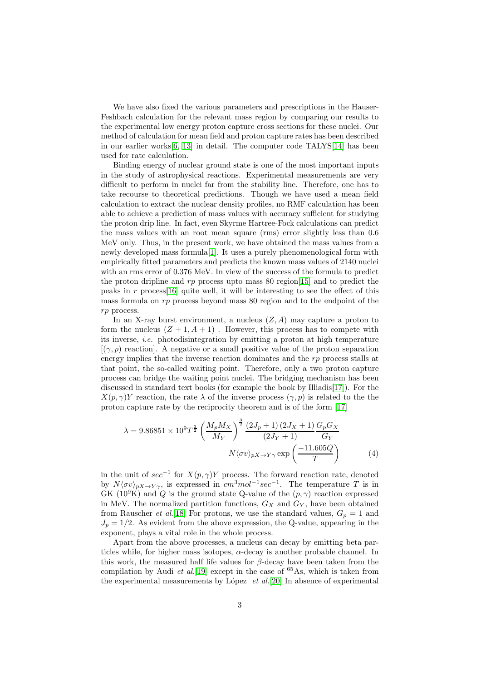We have also fixed the various parameters and prescriptions in the Hauser-Feshbach calculation for the relevant mass region by comparing our results to the experimental low energy proton capture cross sections for these nuclei. Our method of calculation for mean field and proton capture rates has been described in our earlier works[\[6,](#page-6-2) [13\]](#page-6-9) in detail. The computer code TALYS[\[14\]](#page-6-10) has been used for rate calculation.

Binding energy of nuclear ground state is one of the most important inputs in the study of astrophysical reactions. Experimental measurements are very difficult to perform in nuclei far from the stability line. Therefore, one has to take recourse to theoretical predictions. Though we have used a mean field calculation to extract the nuclear density profiles, no RMF calculation has been able to achieve a prediction of mass values with accuracy sufficient for studying the proton drip line. In fact, even Skyrme Hartree-Fock calculations can predict the mass values with an root mean square (rms) error slightly less than 0.6 MeV only. Thus, in the present work, we have obtained the mass values from a newly developed mass formula[\[1\]](#page-5-0). It uses a purely phenomenological form with empirically fitted parameters and predicts the known mass values of 2140 nuclei with an rms error of 0.376 MeV. In view of the success of the formula to predict the proton dripline and rp process upto mass 80 region [\[15\]](#page-6-11) and to predict the peaks in  $r$  process [\[16\]](#page-6-12) quite well, it will be interesting to see the effect of this mass formula on rp process beyond mass 80 region and to the endpoint of the rp process.

In an X-ray burst environment, a nucleus  $(Z, A)$  may capture a proton to form the nucleus  $(Z + 1, A + 1)$ . However, this process has to compete with its inverse, i.e. photodisintegration by emitting a proton at high temperature  $[(\gamma, p)]$  reaction. A negative or a small positive value of the proton separation energy implies that the inverse reaction dominates and the  $rp$  process stalls at that point, the so-called waiting point. Therefore, only a two proton capture process can bridge the waiting point nuclei. The bridging mechanism has been discussed in standard text books (for example the book by Illiadis[\[17\]](#page-6-13)). For the  $X(p, \gamma)Y$  reaction, the rate  $\lambda$  of the inverse process  $(\gamma, p)$  is related to the the proton capture rate by the reciprocity theorem and is of the form [\[17\]](#page-6-13)

$$
\lambda = 9.86851 \times 10^9 T^{\frac{3}{2}} \left(\frac{M_p M_X}{M_Y}\right)^{\frac{3}{2}} \frac{\left(2J_p + 1\right)\left(2J_X + 1\right)}{\left(2J_Y + 1\right)} \frac{G_p G_X}{G_Y}
$$
\n
$$
N \langle \sigma v \rangle_{pX \to Y\gamma} \exp\left(\frac{-11.605Q}{T}\right) \tag{4}
$$

in the unit of  $sec^{-1}$  for  $X(p, \gamma)Y$  process. The forward reaction rate, denoted by  $N\langle \sigma v \rangle_{pX \to Y\gamma}$ , is expressed in  $cm^3mol^{-1}sec^{-1}$ . The temperature T is in GK (10<sup>9</sup>K) and Q is the ground state Q-value of the  $(p, \gamma)$  reaction expressed in MeV. The normalized partition functions,  $G_X$  and  $G_Y$ , have been obtained from Rauscher *et al.*[\[18\]](#page-6-14) For protons, we use the standard values,  $G_p = 1$  and  $J_p = 1/2$ . As evident from the above expression, the Q-value, appearing in the exponent, plays a vital role in the whole process.

Apart from the above processes, a nucleus can decay by emitting beta particles while, for higher mass isotopes,  $\alpha$ -decay is another probable channel. In this work, the measured half life values for  $\beta$ -decay have been taken from the compilation by Audi et al.<sup>[\[19\]](#page-6-15)</sup> except in the case of  $^{65}$ As, which is taken from the experimental measurements by López  $et al.[20]$  $et al.[20]$  In absence of experimental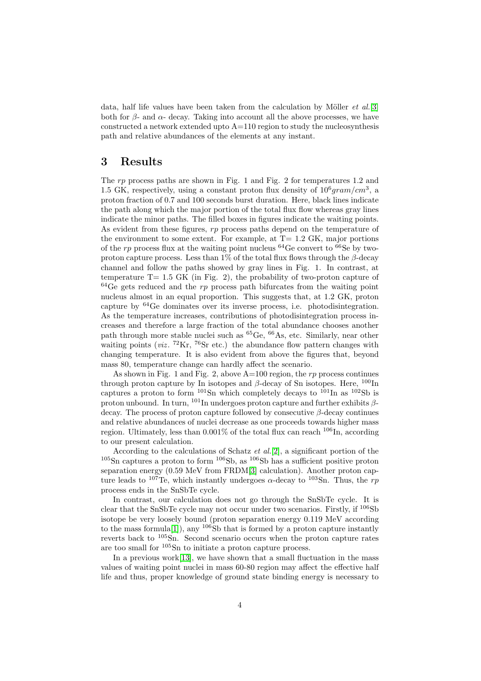data, half life values have been taken from the calculation by Möller  $et \ al. [3]$  $et \ al. [3]$ both for  $\beta$ - and  $\alpha$ - decay. Taking into account all the above processes, we have constructed a network extended upto A=110 region to study the nucleosynthesis path and relative abundances of the elements at any instant.

### 3 Results

The rp process paths are shown in Fig. 1 and Fig. 2 for temperatures 1.2 and 1.5 GK, respectively, using a constant proton flux density of  $10^6 gram/cm^3$ , a proton fraction of 0.7 and 100 seconds burst duration. Here, black lines indicate the path along which the major portion of the total flux flow whereas gray lines indicate the minor paths. The filled boxes in figures indicate the waiting points. As evident from these figures, rp process paths depend on the temperature of the environment to some extent. For example, at  $T= 1.2$  GK, major portions of the  $rp$  process flux at the waiting point nucleus <sup>64</sup>Ge convert to <sup>66</sup>Se by twoproton capture process. Less than  $1\%$  of the total flux flows through the  $\beta$ -decay channel and follow the paths showed by gray lines in Fig. 1. In contrast, at temperature  $T= 1.5$  GK (in Fig. 2), the probability of two-proton capture of  $64$ Ge gets reduced and the rp process path bifurcates from the waiting point nucleus almost in an equal proportion. This suggests that, at 1.2 GK, proton capture by  ${}^{64}$ Ge dominates over its inverse process, i.e. photodisintegration. As the temperature increases, contributions of photodisintegration process increases and therefore a large fraction of the total abundance chooses another path through more stable nuclei such as  ${}^{65}Ge$ ,  ${}^{66}As$ , etc. Similarly, near other waiting points ( $viz$ . <sup>72</sup>Kr, <sup>76</sup>Sr etc.) the abundance flow pattern changes with changing temperature. It is also evident from above the figures that, beyond mass 80, temperature change can hardly affect the scenario.

As shown in Fig. 1 and Fig. 2, above  $A=100$  region, the rp process continues through proton capture by In isotopes and  $\beta$ -decay of Sn isotopes. Here,  $^{100}$ In captures a proton to form  $^{101}Sn$  which completely decays to  $^{101}In$  as  $^{102}Sb$  is proton unbound. In turn,  $101\text{In}$  undergoes proton capture and further exhibits  $\beta$ decay. The process of proton capture followed by consecutive  $\beta$ -decay continues and relative abundances of nuclei decrease as one proceeds towards higher mass region. Ultimately, less than  $0.001\%$  of the total flux can reach  $106\text{In}$ , according to our present calculation.

According to the calculations of Schatz et al.[\[2\]](#page-5-1), a significant portion of the  $105$ Sn captures a proton to form  $106$ Sb, as  $106$ Sb has a sufficient positive proton separation energy (0.59 MeV from FRDM[\[3\]](#page-5-2) calculation). Another proton capture leads to <sup>107</sup>Te, which instantly undergoes  $\alpha$ -decay to <sup>103</sup>Sn. Thus, the rp process ends in the SnSbTe cycle.

In contrast, our calculation does not go through the SnSbTe cycle. It is clear that the SnSbTe cycle may not occur under two scenarios. Firstly, if <sup>106</sup>Sb isotope be very loosely bound (proton separation energy 0.119 MeV according to the mass formula<sup>[\[1\]](#page-5-0)</sup>), any <sup>106</sup>Sb that is formed by a proton capture instantly reverts back to <sup>105</sup>Sn. Second scenario occurs when the proton capture rates are too small for <sup>105</sup>Sn to initiate a proton capture process.

In a previous work<sup>[\[13\]](#page-6-9)</sup>, we have shown that a small fluctuation in the mass values of waiting point nuclei in mass 60-80 region may affect the effective half life and thus, proper knowledge of ground state binding energy is necessary to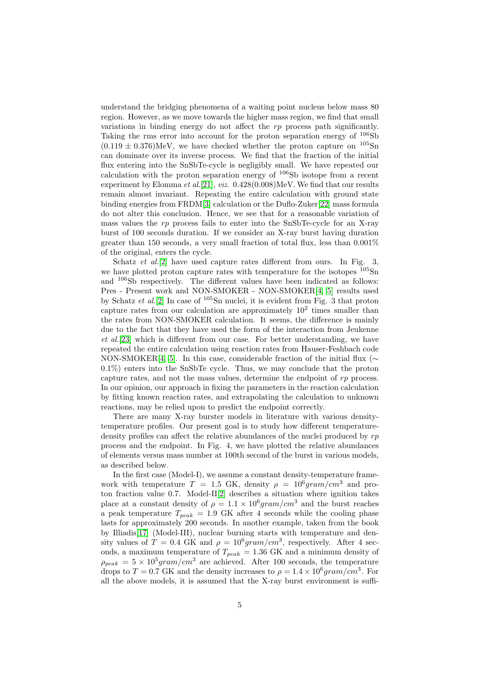understand the bridging phenomena of a waiting point nucleus below mass 80 region. However, as we move towards the higher mass region, we find that small variations in binding energy do not affect the  $rp$  process path significantly. Taking the rms error into account for the proton separation energy of  $106Sb$  $(0.119 \pm 0.376)$ MeV, we have checked whether the proton capture on  $^{105}$ Sn can dominate over its inverse process. We find that the fraction of the initial flux entering into the SnSbTe-cycle is negligibly small. We have repeated our calculation with the proton separation energy of  $106Sb$  isotope from a recent experiment by Elomma et al.[\[21\]](#page-6-17), viz. 0.428(0.008)MeV. We find that our results remain almost invariant. Repeating the entire calculation with ground state binding energies from FRDM[\[3\]](#page-5-2) calculation or the Duflo-Zuker[\[22\]](#page-6-18) mass formula do not alter this conclusion. Hence, we see that for a reasonable variation of mass values the  $rp$  process fails to enter into the SnSbTe-cycle for an X-ray burst of 100 seconds duration. If we consider an X-ray burst having duration greater than 150 seconds, a very small fraction of total flux, less than  $0.001\%$ of the original, enters the cycle.

Schatz *et al.*[\[2\]](#page-5-1) have used capture rates different from ours. In Fig. 3, we have plotted proton capture rates with temperature for the isotopes  $105\text{Sn}$ and <sup>106</sup>Sb respectively. The different values have been indicated as follows: Pres - Present work and NON-SMOKER - NON-SMOKER[\[4,](#page-6-0) [5\]](#page-6-1) results used by Schatz et al.<sup>[\[2\]](#page-5-1)</sup> In case of  $105$ Sn nuclei, it is evident from Fig. 3 that proton capture rates from our calculation are approximately  $10^2$  times smaller than the rates from NON-SMOKER calculation. It seems, the difference is mainly due to the fact that they have used the form of the interaction from Jeukenne et al.[\[23\]](#page-6-19) which is different from our case. For better understanding, we have repeated the entire calculation using reaction rates from Hauser-Feshbach code NON-SMOKER[\[4,](#page-6-0) [5\]](#page-6-1). In this case, considerable fraction of the initial flux ( $\sim$ 0.1%) enters into the SnSbTe cycle. Thus, we may conclude that the proton capture rates, and not the mass values, determine the endpoint of  $rp$  process. In our opinion, our approach in fixing the parameters in the reaction calculation by fitting known reaction rates, and extrapolating the calculation to unknown reactions, may be relied upon to predict the endpoint correctly.

There are many X-ray burster models in literature with various densitytemperature profiles. Our present goal is to study how different temperaturedensity profiles can affect the relative abundances of the nuclei produced by rp process and the endpoint. In Fig. 4, we have plotted the relative abundances of elements versus mass number at 100th second of the burst in various models, as described below.

In the first case (Model-I), we assume a constant density-temperature framework with temperature  $T = 1.5$  GK, density  $\rho = 10^6 \text{gram/cm}^3$  and proton fraction value 0.7. Model-II[\[2\]](#page-5-1) describes a situation where ignition takes place at a constant density of  $\rho = 1.1 \times 10^6 gram/cm^3$  and the burst reaches a peak temperature  $T_{peak}$  = 1.9 GK after 4 seconds while the cooling phase lasts for approximately 200 seconds. In another example, taken from the book by Illiadis[\[17\]](#page-6-13) (Model-III), nuclear burning starts with temperature and density values of  $T = 0.4$  GK and  $\rho = 10^6 \text{gram/cm}^3$ , respectively. After 4 seconds, a maximum temperature of  $T_{peak} = 1.36 \text{ GK}$  and a minimum density of  $\rho_{peak} = 5 \times 10^5 gram/cm^3$  are achieved. After 100 seconds, the temperature drops to  $T = 0.7$  GK and the density increases to  $\rho = 1.4 \times 10^6$  gram/cm<sup>3</sup>. For all the above models, it is assumed that the X-ray burst environment is suffi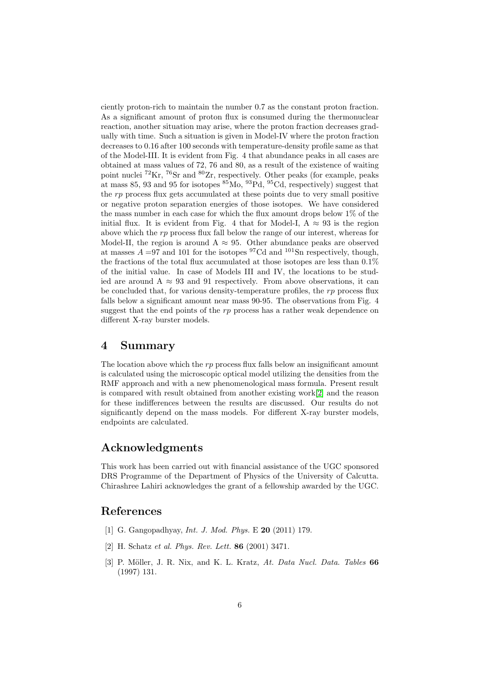ciently proton-rich to maintain the number 0.7 as the constant proton fraction. As a significant amount of proton flux is consumed during the thermonuclear reaction, another situation may arise, where the proton fraction decreases gradually with time. Such a situation is given in Model-IV where the proton fraction decreases to 0.16 after 100 seconds with temperature-density profile same as that of the Model-III. It is evident from Fig. 4 that abundance peaks in all cases are obtained at mass values of 72, 76 and 80, as a result of the existence of waiting point nuclei  ${}^{72}\text{Kr}$ ,  ${}^{76}\text{Sr}$  and  ${}^{80}\text{Zr}$ , respectively. Other peaks (for example, peaks at mass 85, 93 and 95 for isotopes  ${}^{85}$ Mo,  ${}^{93}$ Pd,  ${}^{95}$ Cd, respectively) suggest that the rp process flux gets accumulated at these points due to very small positive or negative proton separation energies of those isotopes. We have considered the mass number in each case for which the flux amount drops below 1% of the initial flux. It is evident from Fig. 4 that for Model-I,  $A \approx 93$  is the region above which the  $rp$  process flux fall below the range of our interest, whereas for Model-II, the region is around A  $\approx$  95. Other abundance peaks are observed at masses  $A = 97$  and 101 for the isotopes <sup>97</sup>Cd and <sup>101</sup>Sn respectively, though, the fractions of the total flux accumulated at those isotopes are less than 0.1% of the initial value. In case of Models III and IV, the locations to be studied are around  $A \approx 93$  and 91 respectively. From above observations, it can be concluded that, for various density-temperature profiles, the  $rp$  process flux falls below a significant amount near mass 90-95. The observations from Fig. 4 suggest that the end points of the  $rp$  process has a rather weak dependence on different X-ray burster models.

#### 4 Summary

The location above which the rp process flux falls below an insignificant amount is calculated using the microscopic optical model utilizing the densities from the RMF approach and with a new phenomenological mass formula. Present result is compared with result obtained from another existing work[\[2\]](#page-5-1) and the reason for these indifferences between the results are discussed. Our results do not significantly depend on the mass models. For different X-ray burster models, endpoints are calculated.

## Acknowledgments

This work has been carried out with financial assistance of the UGC sponsored DRS Programme of the Department of Physics of the University of Calcutta. Chirashree Lahiri acknowledges the grant of a fellowship awarded by the UGC.

# <span id="page-5-0"></span>References

- <span id="page-5-1"></span>[1] G. Gangopadhyay, Int. J. Mod. Phys. E 20 (2011) 179.
- <span id="page-5-2"></span>[2] H. Schatz et al. Phys. Rev. Lett. 86 (2001) 3471.
- [3] P. Möller, J. R. Nix, and K. L. Kratz, At. Data Nucl. Data. Tables 66 (1997) 131.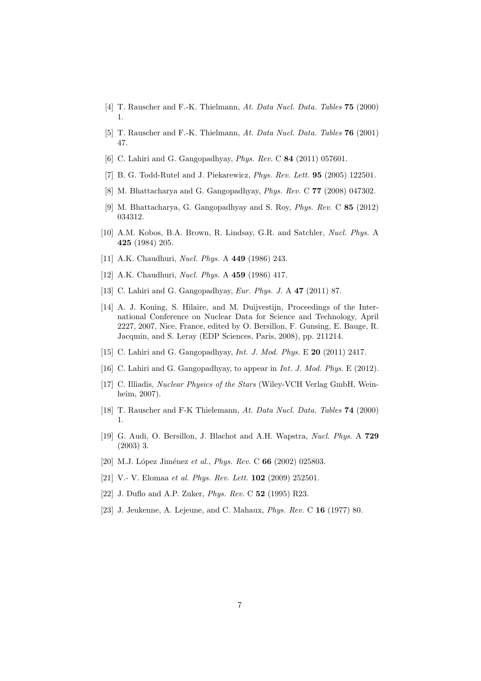- <span id="page-6-1"></span><span id="page-6-0"></span>[4] T. Rauscher and F.-K. Thielmann, At. Data Nucl. Data. Tables **75** (2000) 1.
- <span id="page-6-2"></span>[5] T. Rauscher and F.-K. Thielmann, At. Data Nucl. Data. Tables 76 (2001) 47.
- <span id="page-6-3"></span>[6] C. Lahiri and G. Gangopadhyay, *Phys. Rev.* C **84** (2011) 057601.
- <span id="page-6-4"></span>[7] B. G. Todd-Rutel and J. Piekarewicz, *Phys. Rev. Lett.* **95** (2005) 122501.
- <span id="page-6-5"></span>[8] M. Bhattacharya and G. Gangopadhyay, Phys. Rev. C 77 (2008) 047302.
- <span id="page-6-6"></span>[9] M. Bhattacharya, G. Gangopadhyay and S. Roy, Phys. Rev. C 85 (2012) 034312.
- [10] A.M. Kobos, B.A. Brown, R. Lindsay, G.R. and Satchler, Nucl. Phys. A 425 (1984) 205.
- <span id="page-6-8"></span><span id="page-6-7"></span>[11] A.K. Chaudhuri, *Nucl. Phys.* A **449** (1986) 243.
- <span id="page-6-9"></span>[12] A.K. Chaudhuri, Nucl. Phys. A 459 (1986) 417.
- <span id="page-6-10"></span>[13] C. Lahiri and G. Gangopadhyay, Eur. Phys. J. A 47 (2011) 87.
- [14] A. J. Koning, S. Hilaire, and M. Duijvestijn, Proceedings of the International Conference on Nuclear Data for Science and Technology, April 2227, 2007, Nice, France, edited by O. Bersillon, F. Gunsing, E. Bauge, R. Jacqmin, and S. Leray (EDP Sciences, Paris, 2008), pp. 211214.
- <span id="page-6-12"></span><span id="page-6-11"></span>[15] C. Lahiri and G. Gangopadhyay, Int. J. Mod. Phys. E 20 (2011) 2417.
- <span id="page-6-13"></span>[16] C. Lahiri and G. Gangopadhyay, to appear in *Int. J. Mod. Phys.* E (2012).
- [17] C. Illiadis, Nuclear Physics of the Stars (Wiley-VCH Verlag GmbH, Weinheim, 2007).
- <span id="page-6-15"></span><span id="page-6-14"></span>[18] T. Rauscher and F-K Thielemann, At. Data Nucl. Data. Tables 74 (2000) 1.
- [19] G. Audi, O. Bersillon, J. Blachot and A.H. Wapstra, Nucl. Phys. A 729 (2003) 3.
- <span id="page-6-17"></span><span id="page-6-16"></span>[20] M.J. López Jiménez et al., *Phys. Rev.* C 66 (2002) 025803.
- <span id="page-6-18"></span>[21] V.- V. Elomaa et al. Phys. Rev. Lett. **102** (2009) 252501.
- <span id="page-6-19"></span>[22] J. Duflo and A.P. Zuker, Phys. Rev. C 52 (1995) R23.
- [23] J. Jeukenne, A. Lejeune, and C. Mahaux, Phys. Rev. C 16 (1977) 80.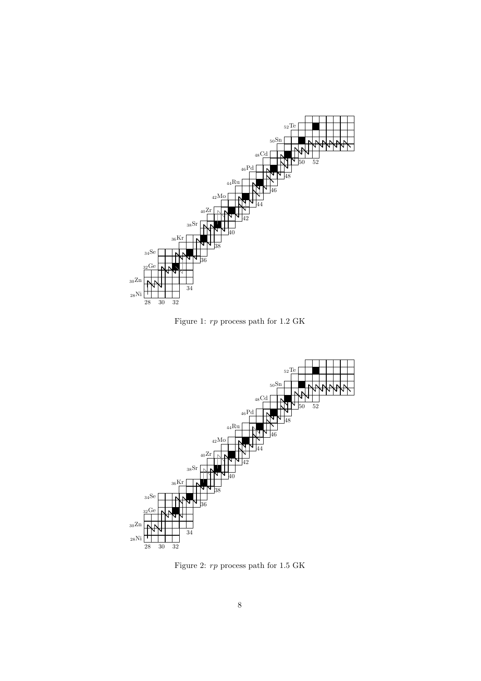

Figure 1: rp process path for 1.2 GK



Figure 2:  $rp$  process path for  $1.5~\mathrm{GK}$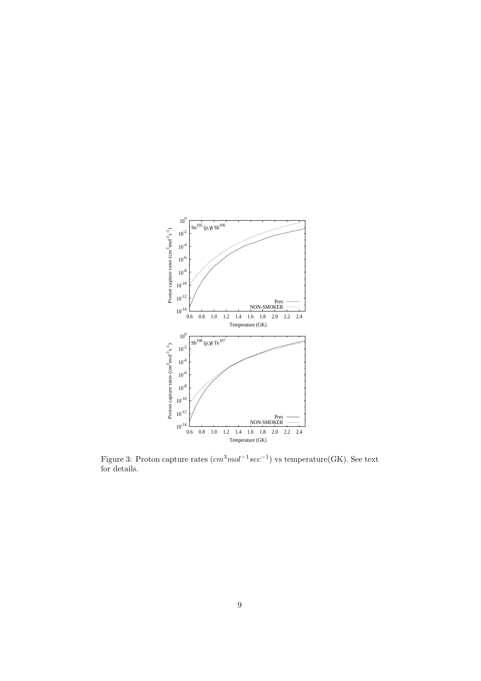

Figure 3: Proton capture rates  $(cm<sup>3</sup> mol<sup>-1</sup> sec<sup>-1</sup>)$  vs temperature(GK). See text for details.